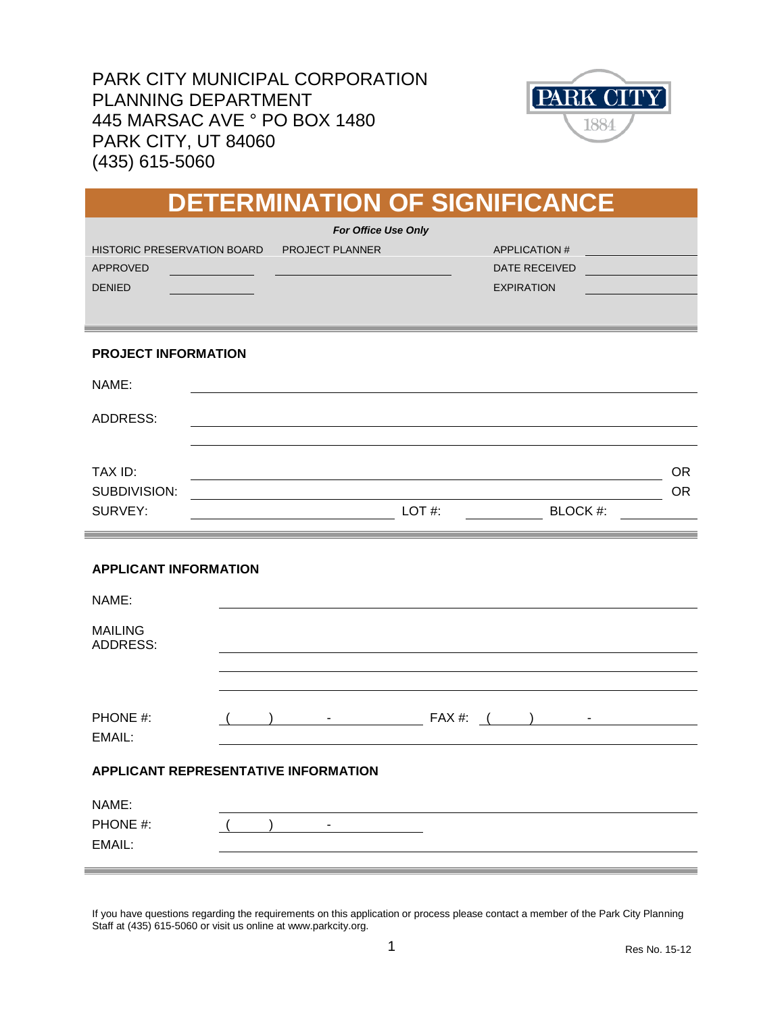PARK CITY MUNICIPAL CORPORATION PLANNING DEPARTMENT 445 MARSAC AVE ° PO BOX 1480 PARK CITY, UT 84060 (435) 615-5060



|                                                                        |  |                                               |          | <b>DETERMINATION OF SIGNIFICANCE</b>                             |           |  |
|------------------------------------------------------------------------|--|-----------------------------------------------|----------|------------------------------------------------------------------|-----------|--|
| <b>HISTORIC PRESERVATION BOARD</b><br><b>APPROVED</b><br><b>DENIED</b> |  | <b>For Office Use Only</b><br>PROJECT PLANNER |          | <b>APPLICATION#</b><br><b>DATE RECEIVED</b><br><b>EXPIRATION</b> |           |  |
| <b>PROJECT INFORMATION</b>                                             |  |                                               |          |                                                                  |           |  |
| NAME:                                                                  |  |                                               |          |                                                                  |           |  |
| <b>ADDRESS:</b>                                                        |  |                                               |          |                                                                  |           |  |
| TAX ID:                                                                |  |                                               |          |                                                                  | <b>OR</b> |  |
| SUBDIVISION:<br>SURVEY:                                                |  |                                               | $LOT$ #: | BLOCK #:                                                         | <b>OR</b> |  |
| <b>APPLICANT INFORMATION</b>                                           |  |                                               |          |                                                                  |           |  |
| NAME:                                                                  |  |                                               |          |                                                                  |           |  |
| <b>MAILING</b><br><b>ADDRESS:</b>                                      |  |                                               |          |                                                                  |           |  |
|                                                                        |  |                                               |          |                                                                  |           |  |
| PHONE #:<br>EMAIL:                                                     |  | $\sigma_{\rm{max}}$                           |          | $FAX \#:$ ( ) -                                                  |           |  |
| APPLICANT REPRESENTATIVE INFORMATION                                   |  |                                               |          |                                                                  |           |  |
| NAME:                                                                  |  |                                               |          |                                                                  |           |  |
| PHONE #:<br>EMAIL:                                                     |  |                                               |          |                                                                  |           |  |

If you have questions regarding the requirements on this application or process please contact a member of the Park City Planning Staff at (435) 615-5060 or visit us online at www.parkcity.org.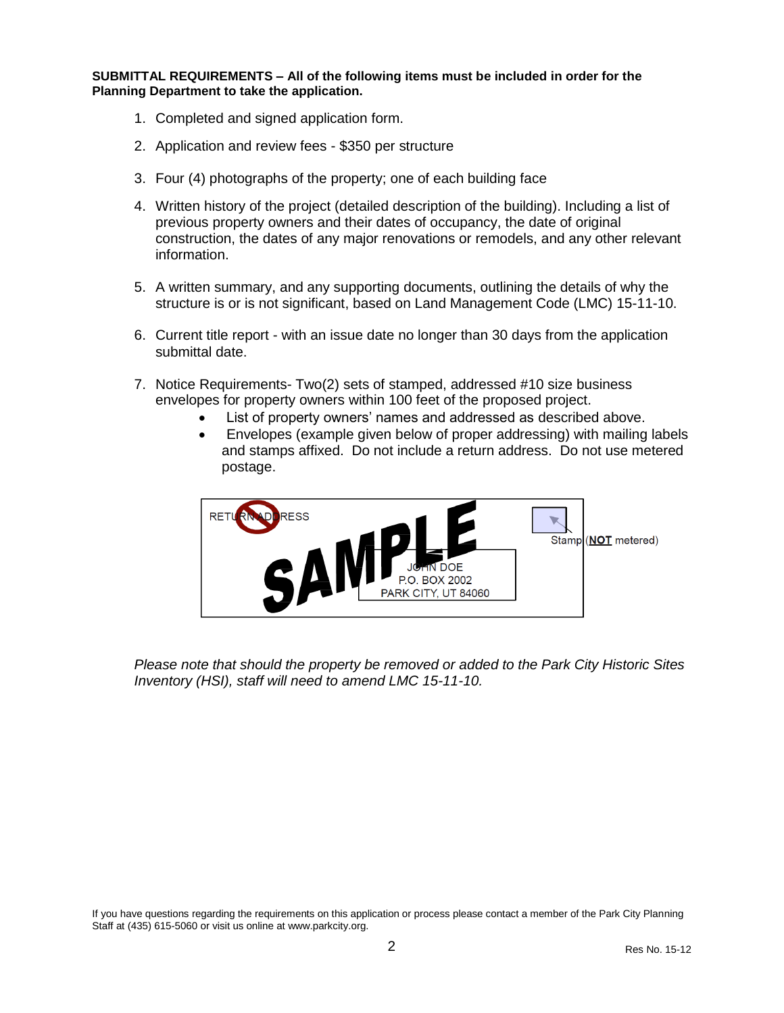**SUBMITTAL REQUIREMENTS – All of the following items must be included in order for the Planning Department to take the application.** 

- 1. Completed and signed application form.
- 2. Application and review fees \$350 per structure
- 3. Four (4) photographs of the property; one of each building face
- 4. Written history of the project (detailed description of the building). Including a list of previous property owners and their dates of occupancy, the date of original construction, the dates of any major renovations or remodels, and any other relevant information.
- 5. A written summary, and any supporting documents, outlining the details of why the structure is or is not significant, based on Land Management Code (LMC) 15-11-10.
- 6. Current title report with an issue date no longer than 30 days from the application submittal date.
- 7. Notice Requirements- Two(2) sets of stamped, addressed #10 size business envelopes for property owners within 100 feet of the proposed project.
	- List of property owners' names and addressed as described above.
	- Envelopes (example given below of proper addressing) with mailing labels and stamps affixed. Do not include a return address. Do not use metered postage.



*Please note that should the property be removed or added to the Park City Historic Sites Inventory (HSI), staff will need to amend LMC 15-11-10.* 

If you have questions regarding the requirements on this application or process please contact a member of the Park City Planning Staff at (435) 615-5060 or visit us online at www.parkcity.org.